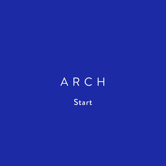# ARCH Start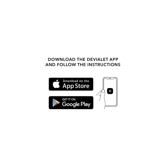#### **DOWNLOAD THE DEVIALET APP AND FOLLOW THE INSTRUCTIONS**

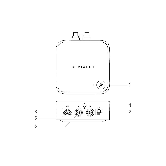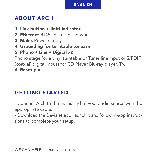#### ABOUT ARCH

- 1. Link button + light indicator
- 2. Ethernet RJ45 socket for network
- 3. Mains Power supply
- 4. Grounding for turntable tonearm
- 5. Phono Line Digital x2

Phono stage for a vinyl turntable or Tuner line input or S/PDIF (coaxial) digital inputs for CD Player Blu-ray player, TV...

6. Reset pin

#### GETTING STARTED

- Connect Arch to the mains and to your audio source with the appropriate cable.

- Download the Devialet app, launch it and follow in-app instructions to complete your setup.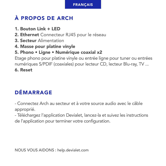### À PROPOS DE ARCH

- 1. Bouton Link + LED
- 2. Ethernet Connecteur RJ45 pour le réseau
- 3. Secteur Alimentation
- 4. Masse pour platine vinyle

#### 5. Phono • Ligne • Numérique coaxial x2

Etage phono pour platine vinyle ou entrée ligne pour tuner ou entrées numériques S/PDIF (coaxiales) pour lecteur CD, lecteur Blu-ray, TV ... 6. Reset

#### DÉMARRAGE

- Connectez Arch au secteur et à votre source audio avec le câble approprié.

- Téléchargez l'application Devialet, lancez-la et suivez les instructions de l'application pour terminer votre configuration.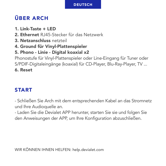#### **DEUTSCH**

#### ÜBER ARCH

- 1. Link-Taste + LED
- 2. Ethernet RJ45-Stecker für das Netzwerk
- 3. Netzanschluss netzteil
- 4. Ground für Vinyl-Plattenspieler
- 5. Phono Linie Digital koaxial x2

Phonostufe für Vinyl-Plattenspieler oder Line-Eingang für Tuner oder S/PDIF-Digitaleingänge (koaxial) für CD-Player, Blu-Ray-Player, TV ... 6. Reset

#### **START**

- Schließen Sie Arch mit dem entsprechenden Kabel an das Stromnetz und Ihre Audioquelle an.

- Laden Sie die Devialet APP herunter, starten Sie sie und folgen Sie den Anweisungen der APP, um Ihre Konfiguration abzuschließen.

WIR KÖNNEN IHNEN HELFEN: help.devialet.com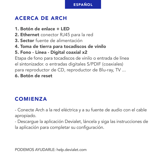#### ESPAÑOL

#### ACERCA DE ARCH

- 1. Botón de enlace + LED
- 2. Ethernet conector RJ45 para la red
- 3. Sector fuente de alimentación
- 4. Toma de tierra para tocadiscos de vinilo
- 5. Fono Línea Digital coaxial x2

Etapa de fono para tocadiscos de vinilo o entrada de línea el sintonizador. o entradas digitales S/PDIF (coaxiales) para reproductor de CD, reproductor de Blu-ray, TV ... 6. Botón de reset

#### COMIENZA

- Conecte Arch a la red eléctrica y a su fuente de audio con el cable apropiado.

- Descargue la aplicación Devialet, láncela y siga las instrucciones de la aplicación para completar su configuración.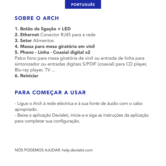PORTUGUÊS

#### SOBRE O ARCH

- 1. Botão de ligação + LED
- 2. Ethernet Conector RJ45 para a rede
- 3. Setor Alimentos
- 4. Massa para mesa giratória em vinil
- 5. Phono Linha Coaxial digital x2

Palco fono para mesa giratória de vinil ou entrada de linha para sintonizador ou entradas digitais S/PDIF (coaxial) para CD player, Blu-ray player, TV ...

6. Reiniciar

#### PARA COMEÇAR A USAR

- Ligue o Arch à rede eléctrica e à sua fonte de áudio com o cabo apropriado.

- Baixe a aplicação Devialet, inicie-a e siga as instruções da aplicação para completar sua configuração.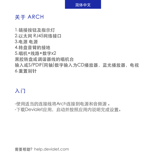#### 关于 ARCH

1.链接按钮及指示灯 2.以太网 RJ45网络接口 3.电源 电源 4.转盘音臂的接地 5.唱机•线路•数字x2 黑胶转盘或调谐器线的唱机台 输入或S/PDIF(同轴)数字输入为CD播放器,蓝光播放器,电视 6.重置别针

#### 入门

-使用适当的连接线将Arch连接到电源和音频源 。 -下载Devialet应用,启动并按照应用内说明完成设置。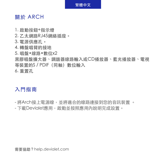#### 繁體中文

#### 關於 ARCH

- 1. 啟動按鈕+指示燈
- 2. 乙太網路RJ45網絡插座。
- 3. 電源供應孔。
- 4. 轉盤唱臂的接地
- 5. 唱盤•線路•數位x2
- 黑膠唱盤擴大器、調諧器線路輸入或CD播放器、藍光播放器、電視 等裝置的S / PDIF(同軸)數位輸入
- 6. 重置孔

#### 入門指南

- 將Arch接上電源線,並將適合的線路連接到您的音訊裝置 。
- 下載Devialet應用,啟動並按照應用內說明完成設置。

需要協助?help.devialet.com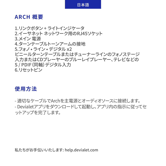#### 日本語

#### **ARCH 概要**

1.リンクボタン + ライトインジケータ 2.イーサネット ネットワーク用のRJ45ソケット 3.メイン 電源 4.ターンテーブルトーンアームの接地 5.フォノ·ライン·デジタル x2 ビニールターンテーブルまたはチューナーラインのフォノステージ 入力またはCDプレーヤーのブルーレイプレーヤー、テレビなどの S / PDIF(同軸)デジタル入力 6.リセットピン

#### **使用方法**

- 適切なケーブルでArchを主電源とオーディオソースに接続します。 - Devialetアプリをダウンロードして起動し、アプリ内の指示に従ってセ ットアップを完了します。

私たちがお手伝いいたします: help.devialet.com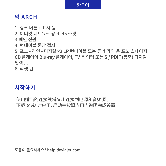#### **약 ARCH**

1. 링크 버튼 + 표시 등 2. 이더넷 네트워크 용 RJ45 소켓 3.메인 전원 4. 턴테이블 톤암 접지 5. 포노 • 라인 • 디지털 x2 LP 턴테이블 또는 튜너 라인 용 포노 스테이지 CD 플레이어 Blu-ray 플레이어, TV 용 입력 또는 S / PDIF (동축) 디지털 입력 ... 6. 리셋 핀

#### **시작하기**

-使用适当的连接线将Arch连接到电源和音频源 。 -下载Devialet应用,启动并按照应用内说明完成设置。

도움이 필요하세요? help.devialet.com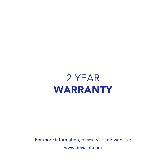## 2 YEAR WARRANTY

For more information, please visit our website: www.devialet.com